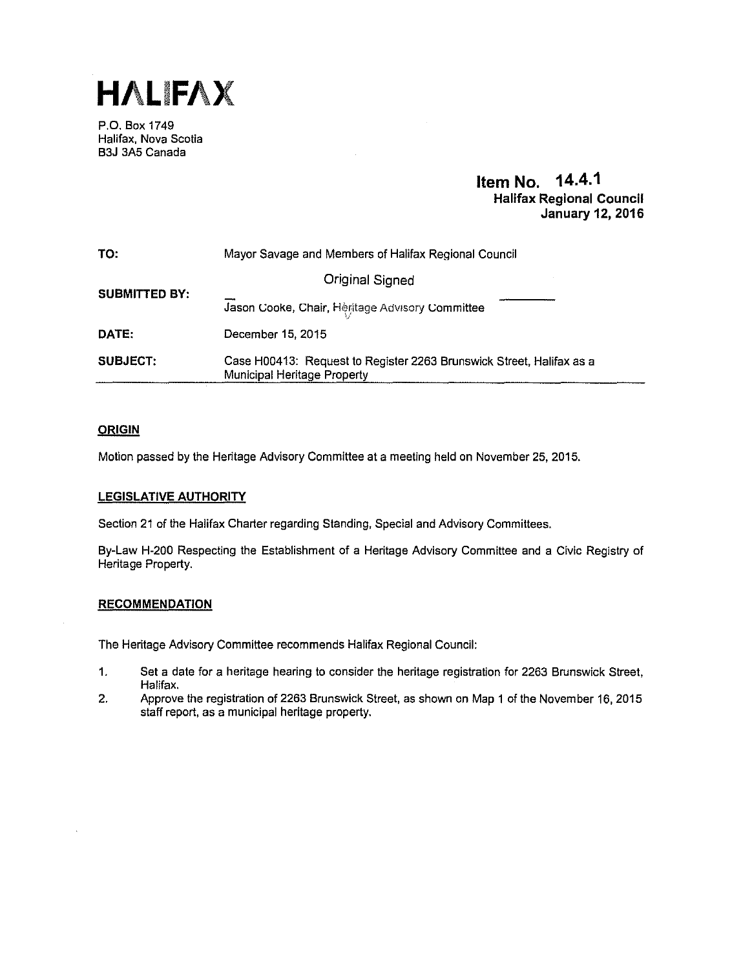

P.O. Box 1749 Halifax, Nova Scotia B3J 3A5 Canada

# **Item No. 14.4.1 Halifax Regional Council January 12, 2016**

| TO:                                                                                                                           | Mayor Savage and Members of Halifax Regional Council |  |  |  |  |
|-------------------------------------------------------------------------------------------------------------------------------|------------------------------------------------------|--|--|--|--|
|                                                                                                                               | <b>Original Signed</b>                               |  |  |  |  |
| <b>SUBMITTED BY:</b>                                                                                                          | Jason Cooke, Chair, Heritage Advisory Committee      |  |  |  |  |
| DATE:                                                                                                                         | December 15, 2015                                    |  |  |  |  |
| <b>SUBJECT:</b><br>Case H00413: Request to Register 2263 Brunswick Street, Halifax as a<br><b>Municipal Heritage Property</b> |                                                      |  |  |  |  |

# **ORIGIN**

Motion passed by the Heritage Advisory Committee at a meeting held on November 25, 2015.

# **LEGISLATIVE AUTHORITY**

Section 21 of the Halifax Charter regarding Standing, Special and Advisory Committees.

By-Law H-200 Respecting the Establishment of a Heritage Advisory Committee and a Civic Registry of Heritage Property.

# **RECOMMENDATION**

The Heritage Advisory Committee recommends Halifax Regional Council:

- 1. Set a date for a heritage hearing to consider the heritage registration for 2263 Brunswick Street, Halifax.
- 2. Approve the registration of2263 Brunswick Street, as shown on Map 1 of the November 16, 2015 staff report, as a municipal heritage property.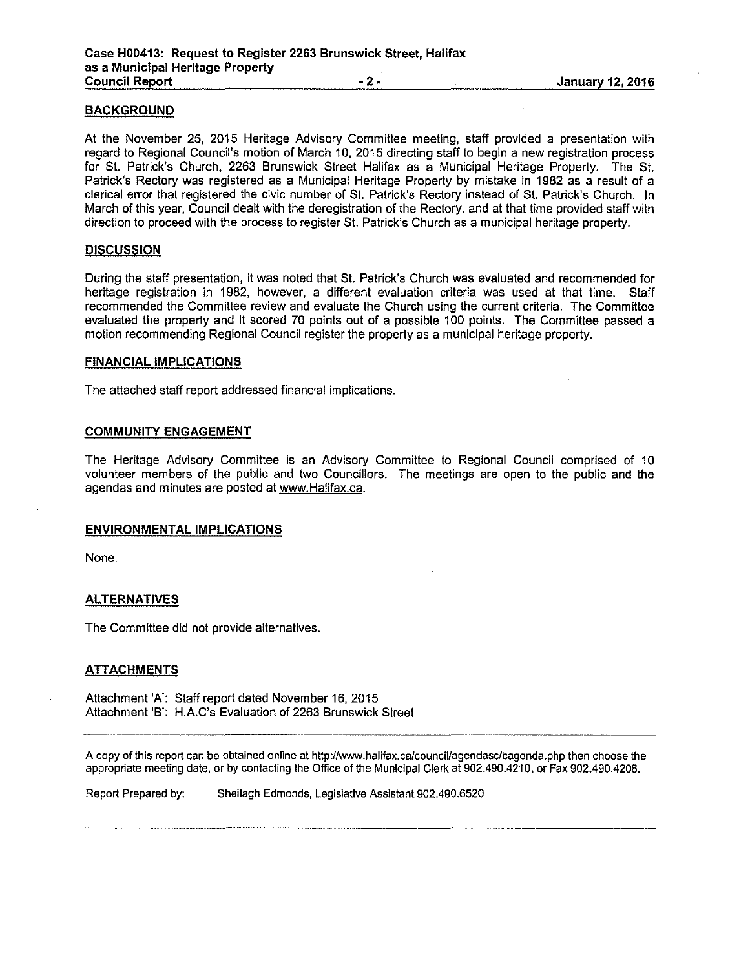### **BACKGROUND**

At the November 25, 2015 Heritage Advisory Committee meeting, staff provided a presentation with regard to Regional Council's motion of March 10, 2015 directing staff to begin a new registration process for St. Patrick's Church, 2263 Brunswick Street Halifax as a Municipal Heritage Property. The St. Patrick's Rectory was registered as a Municipal Heritage Property by mistake in 1982 as a result of a clerical error that registered the civic number of St. Patrick's Rectory instead of St. Patrick's Church. In March of this year, Council dealt with the deregistration of the Rectory, and at that time provided staff with direction to proceed with the process to register St. Patrick's Church as a municipal heritage property.

### **DISCUSSION**

During the staff presentation, it was noted that St. Patrick's Church was evaluated and recommended for heritage registration in 1982, however, a different evaluation criteria was used at that time. Staff recommended the Committee review and evaluate the Church using the current criteria. The Committee evaluated the property and it scored 70 points out of a possible 100 points. The Committee passed a motion recommending Regional Council register the property as a municipal heritage property.

#### **FINANCIAL IMPLICATIONS**

The attached staff report addressed financial implications.

### **COMMUNITY ENGAGEMENT**

The Heritage Advisory Committee is an Advisory Committee to Regional Council comprised of 10 volunteer members of the public and two Councillors. The meetings are open to the public and the agendas and minutes are posted at www.Halifax.ca.

### **ENVIRONMENTAL IMPLICATIONS**

None.

### **ALTERNATIVES**

The Committee did not provide alternatives.

### **ATTACHMENTS**

Attachment 'A': Staff report dated November 16, 2015 Attachment 'B': H.A.C's Evaluation of 2263 Brunswick Street

A copy of this report can be obtained online at http://www.halifax.ca/council/agendasclcagenda.php then choose the appropriate meeting date, or by contacting the Office of the Municipal Clerk at 902.490.4210, or Fax 902.490.4208.

Report Prepared by: Sheilagh Edmonds, Legislative Assistant 902.490.6520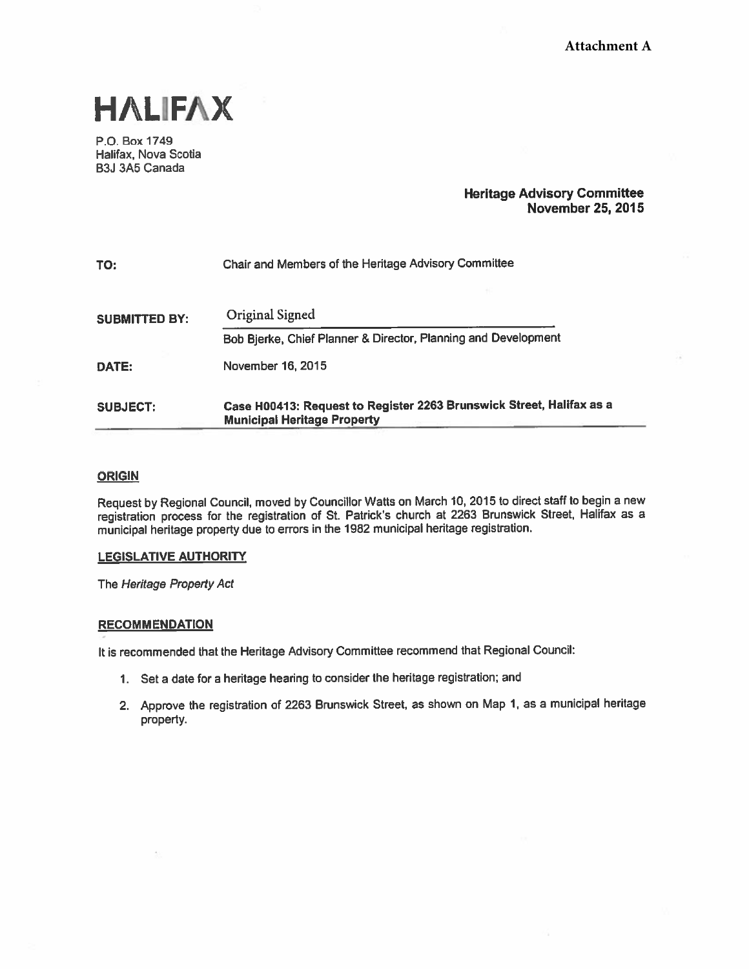

P.O. Box 1749 Halifax, Nova Scotia B3J 3A5 Canada

# Heritage Advisory Committee November 25, 2015

| TO:                  | Chair and Members of the Heritage Advisory Committee                                                       |  |  |  |  |
|----------------------|------------------------------------------------------------------------------------------------------------|--|--|--|--|
| <b>SUBMITTED BY:</b> | Original Signed                                                                                            |  |  |  |  |
|                      | Bob Bjerke, Chief Planner & Director, Planning and Development                                             |  |  |  |  |
| DATE:                | November 16, 2015                                                                                          |  |  |  |  |
| <b>SUBJECT:</b>      | Case H00413: Request to Register 2263 Brunswick Street, Halifax as a<br><b>Municipal Heritage Property</b> |  |  |  |  |

### **ORIGIN**

Request by Regional Council, moved by Councillor Watts on March 10, <sup>2015</sup> to direct staff to begin <sup>a</sup> new registration process for the registration of St. Patrick's church at <sup>2263</sup> Brunswick Street, Halifax as <sup>a</sup> municipal heritage property due to errors in the <sup>1982</sup> municipal heritage registration.

### LEGISLATIVE AUTHORITY

The Heritage Property Act

### **RECOMMENDATION**

It is recommended that the Heritage Advisory Committee recommend that Regional Council:

- 1. Set <sup>a</sup> date for <sup>a</sup> heritage hearing to consider the heritage registration; and
- 2. Approve the registration of <sup>2263</sup> Brunswick Street, as shown on Map 1, as <sup>a</sup> municipal heritage property.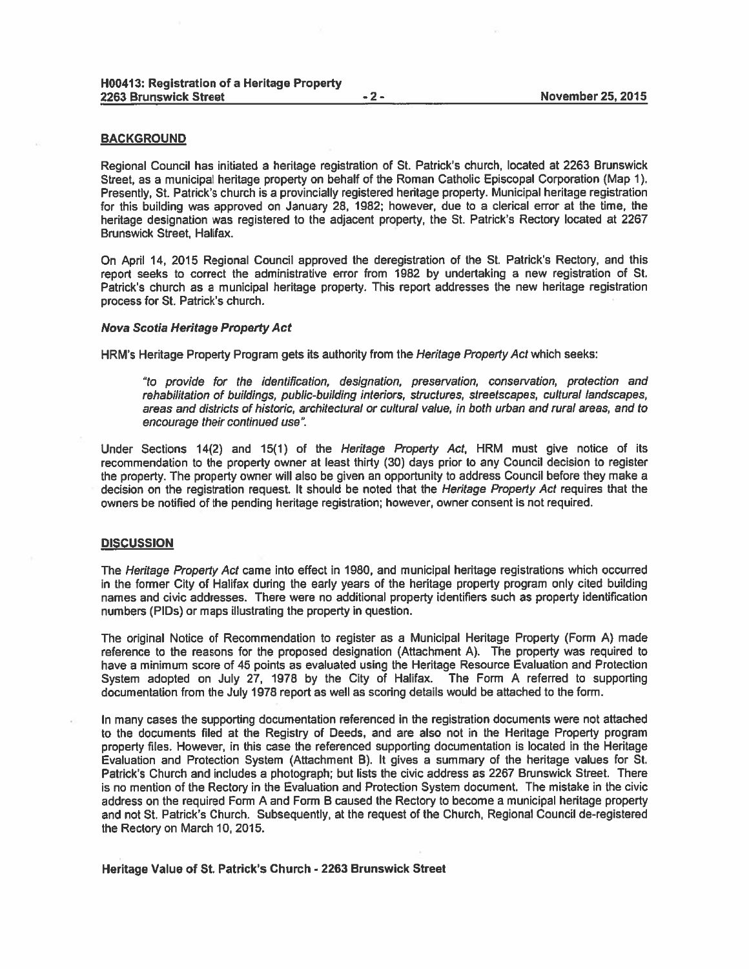#### BACKGROUND

Regional Council has initiated <sup>a</sup> heritage registration of St. Patrick's church, located at 2263 Brunswick Street, as <sup>a</sup> municipal heritage property on behalf of the Roman Catholic Episcopal Corporation (Map 1). Presently, St. Patrick's church is <sup>a</sup> provincially registered heritage property. Municipal heritage registration for this building was approved on January 28, 1982; however, due to <sup>a</sup> clerical error at the time, the heritage designation was registered to the adjacent property, the St. Patrick's Rectory located at 2267 Brunswick Street, Halifax.

On April 14, 2015 Regional Council approved the deregistration of the St. Patrick's Rectory, and this repor<sup>t</sup> seeks to correct the administrative error from 1982 by undertaking <sup>a</sup> new registration of St. Patrick's church as <sup>a</sup> municipal heritage property. This repor<sup>t</sup> addresses the new heritage registration process for St. Patrick's church.

#### Nova Scotia Heritage Property Act

HRM's Heritage Property Program gets its authority from the *Heritage Property Act* which seeks:

"to provide for the identification, designation, preservation, conservation, protection and rehabilitation of buildings, public-building interiors, structures, streetscapes, cultural landscapes, areas and districts of historic, architectural or cultural value, in both urban and rural areas, and to encourage their continued use".

Under Sections 14(2) and 15(1) of the *Heritage Property Act*, HRM must give notice of its recommendation to the property owner at least thirty (30) days prior to any Council decision to register the property. The property owner will also be <sup>g</sup>iven an opportunity to address Council before they make <sup>a</sup> decision on the registration request. It should be noted that the Heritage Property Act requires that the owners be notified of the pending heritage registration; however, owner consent is not required.

#### **DISCUSSION**

The Heritage Property Act came into effect in 1980, and municipal heritage registrations which occurred in the former City of Halifax during the early years of the heritage property program only cited building names and civic addresses. There were no additional property identifiers such as property identification numbers (PIDs) or maps illustrating the property in question.

The original Notice of Recommendation to register as <sup>a</sup> Municipal Heritage Property (Form A) made reference to the reasons for the proposed designation (Attachment A). The property was required to have <sup>a</sup> minimum score of 45 points as evaluated using the Heritage Resource Evaluation and Protection System adopted on July 27, 1978 by the City of Halifax. The Form A referred to supporting documentation from the July 1978 repor<sup>t</sup> as well as scoring details would be attached to the form.

In many cases the supporting documentation referenced in the registration documents were not attached to the documents filed at the Registry of Deeds, and are also not in the Heritage Property program property files. However, in this case the referenced supporting documentation is located in the Heritage Evaluation and Protection System (Attachment B). It gives <sup>a</sup> summary of the heritage values for St. Patrick's Church and includes <sup>a</sup> <sup>p</sup>hotograph; but lists the civic address as 2267 Brunswick Street. There is no mention of the Rectory in the Evaluation and Protection System document. The mistake in the civic address on the required Form A and Form B caused the Rectory to become <sup>a</sup> municipal heritage property and not St, Patrick's Church. Subsequently, at the reques<sup>t</sup> of the Church, Regional Council de-registered the Rectory on March 10, 2015.

Heritage Value of St. Patrick's Church -2263 Brunswick Street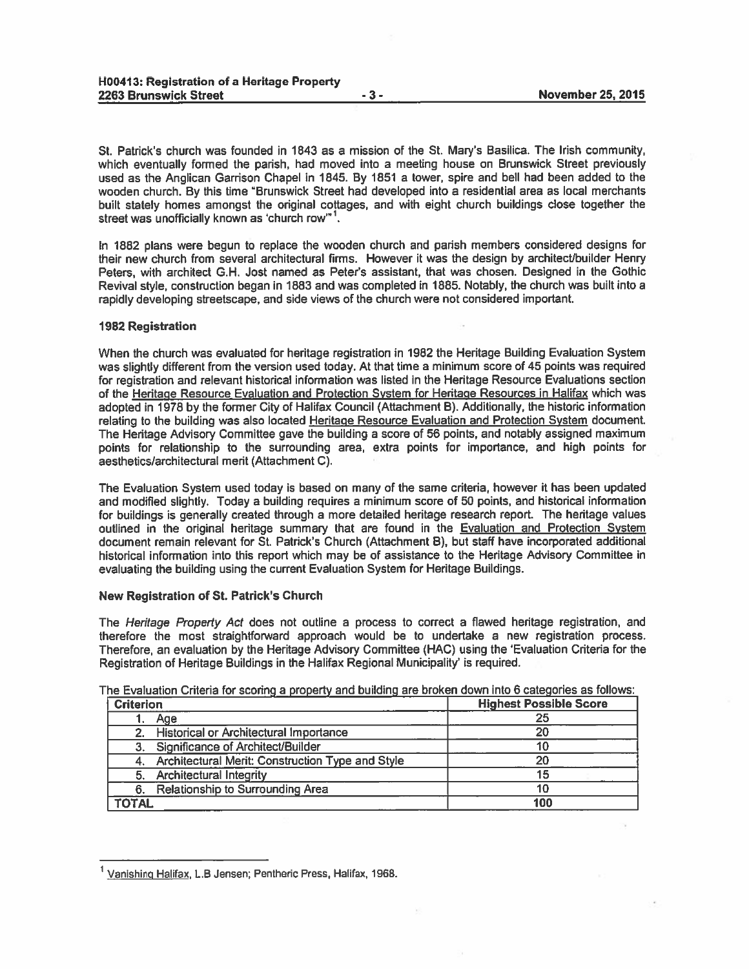St. Patrick's church was founded in 1843 as <sup>a</sup> mission of the St. Mary's Basilica. The Irish community, which eventually formed the parish, had moved into <sup>a</sup> meeting house on Brunswick Street previously used as the Anglican Garrison Chapel in 1845. By 1851 <sup>a</sup> tower, spire and bell had been added to the wooden church. By this time "Brunswick Street had developed into a residential area as local merchants built stately homes amongs<sup>t</sup> the original cottages, and with eight church buildings close together the street was unofficially known as 'church row"<sup>1</sup>.

In 1882 <sup>p</sup>lans were begun to replace the wooden church and parish members considered designs for their new church from several architectural firms. However it was the design by architecUbuilder Henry Peters, with architect G.H. Jost named as Peter's assistant, that was chosen. Designed in the Gothic Revival style, construction began in <sup>1883</sup> and was completed in 1885. Notably, the church was built into <sup>a</sup> rapidly developing streetscape, and side views of the church were not considered important.

#### 1982 Registration

When the church was evaluated for heritage registration in 1982 the Heritage Building Evaluation System was slightly different from the version used today. At that time <sup>a</sup> minimum score of <sup>45</sup> points was required for registration and relevant historical information was listed in the Heritage Resource Evaluations section of the Heritage Resource Evaluation and Protection System for Heritage Resources in Halifax which was adopted in 1978 by the former City of Halifax Council (Attachment B). Additionally, the historic information relating to the building was also located Heritage Resource Evaluation and Protection System document. The Heritage Advisory Committee gave the building <sup>a</sup> score of 56 points, and notably assigned maximum points for relationship to the surrounding area, extra points for importance, and high points for aesthetics/architectural merit (Attachment C).

The Evaluation System used today is based on many of the same criteria, however it has been updated and modified slightly. Today <sup>a</sup> building requires <sup>a</sup> minimum score of 50 points, and historical information for buildings is generally created through <sup>a</sup> more detailed heritage research report. The heritage values outlined in the original heritage summary that are found in the Evaluation and Protection System document remain relevant for St. Patrick's Church (Attachment B), but staff have incorporated additional historical information into this repor<sup>t</sup> which may be of assistance to the Heritage Advisory Committee in evaluating the building using the current Evaluation System for Heritage Buildings.

#### New Registration of St. Patrick's Church

The *Heritage Property Act* does not outline a process to correct a flawed heritage registration, and therefore the most straightforward approach would be to undertake <sup>a</sup> new registration process. Therefore, an evaluation by the Heritage Advisory Committee (HAC) using the 'Evaluation Criteria for the Registration of Heritage Buildings in the Halifax Regional Municipality' is required.

| <b>Criterion</b> |                                                     | <b>Highest Possible Score</b> |  |  |
|------------------|-----------------------------------------------------|-------------------------------|--|--|
|                  | Aqe                                                 | 25                            |  |  |
|                  | 2. Historical or Architectural Importance           | 20                            |  |  |
|                  | Significance of Architect/Builder                   |                               |  |  |
|                  | 4. Architectural Merit: Construction Type and Style | 20                            |  |  |
|                  | 5. Architectural Integrity                          | 15                            |  |  |
| 6.               | Relationship to Surrounding Area                    | 10                            |  |  |
| <b>TOTAL</b>     |                                                     | 100                           |  |  |

The Evaluation Criteria for scoring <sup>a</sup> property and building are broken down into <sup>6</sup> categories as follows:

<sup>&</sup>lt;sup>1</sup> Vanishing Halifax, L.B Jensen; Pentheric Press, Halifax, 1968.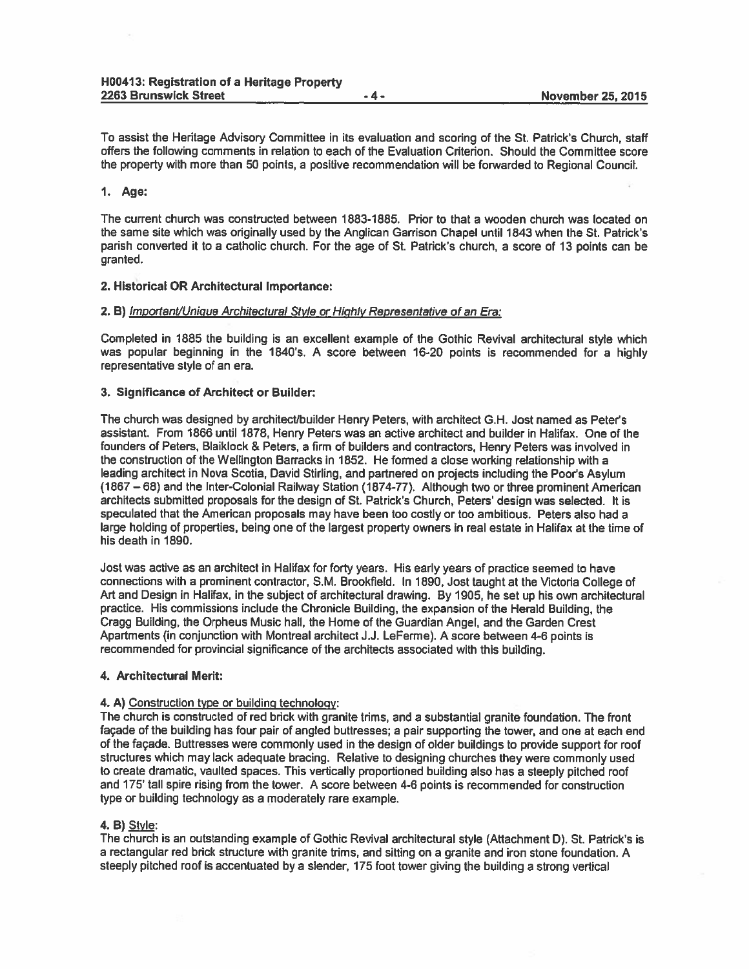To assist the Heritage Advisory Committee in its evaluation and scoring of the St. Patrick's Church, staff offers the following comments in relation to each of the Evaluation Criterion. Should the Committee score the property with more than 50 points, a positive recommendation will be forwarded to Regional Council.

### 1. Age:

The current church was constructed between 1883-1885. Prior to that <sup>a</sup> wooden church was located on the same site which was originally used by the Anglican Garrison Chapel until 1843 when the St. Patrick's parish converted it to <sup>a</sup> catholic church. For the age of St. Patrick's church, <sup>a</sup> score of <sup>13</sup> points can be granted.

### 2. Historical OR Architectural Importance:

### 2. B) Important/Unique Architectural Style or Highly Representative of an Era:

Completed in 1885 the building is an excellent example of the Gothic Revival architectural style which was popular beginning in the 1840's. <sup>A</sup> score between 16-20 points is recommended for <sup>a</sup> highly representative style of an era.

### 3. Significance of Architect or Builder:

The church was designed by architect/builder Henry Peters, with architect G.H. Jost named as Peter's assistant. From 1866 until 1878, Henry Peters was an active architect and builder in Halifax. One of the founders of Peters, Blaiklock & Peters, <sup>a</sup> firm of builders and contractors, Henry Peters was involved in the construction of the Wellington Barracks in 1852. He formed <sup>a</sup> close working relationship with <sup>a</sup> leading architect in Nova Scotia, David Stirling, and partnered on projects including the Poor's Asylum (1867—68) and the Inter-Colonial Railway Station (1874-77). Although two or three prominent American architects submitted proposals for the design of St. Patrick's Church, Peters' design was selected. It is speculated that the American proposals may have been too costly or too ambitious. Peters also had <sup>a</sup> large holding of properties, being one of the largest property owners in real estate in Halifax at the time of his death in 1890.

Jost was active as an architect in Halifax for forty years. His early years of practice seemed to have connections with <sup>a</sup> prominent contractor, SM. Brookfield. In 1890, Jost taught at the Victoria College of Art and Design in Halifax, in the subject of architectural drawing. By 1905, he set up his own architectural practice. His commissions include the Chronicle Building, the expansion of the Herald Building, the Cragg Building, the Orpheus Music hall, the Home of the Guardian Angel, and the Garden Crest Apartments (in conjunction with Montreal architect J.J. LeFerme). <sup>A</sup> score between 4-6 points is recommended for provincial significance of the architects associated with this building.

### 4. Architectural Merit:

### 4. A) Construction type or building technology:

The church is constructed of red brick with granite trims, and <sup>a</sup> substantial granite foundation. The front façade of the building has four pair of angled buttresses; <sup>a</sup> pair supporting the tower, and one at each end of the façade. Buttresses were commonly used in the design of older buildings to provide suppor<sup>t</sup> for roof structures which may lack adequate bracing. Relative to designing churches they were commonly used to create dramatic, vaulted spaces. This vertically proportioned building also has <sup>a</sup> steeply pitched roof and 175' tall spire rising from the tower. A score between 4-6 points is recommended for construction type or building technology as <sup>a</sup> moderately rare example.

# 4. B) Style:

The church is an outstanding example of Gothic Revival architectural style (Attachment D). St. Patrick's is <sup>a</sup> rectangular red brick structure with granite trims, and sitting on <sup>a</sup> granite and iron stone foundation. <sup>A</sup> steeply <sup>p</sup>itched roof is accentuated by <sup>a</sup> slender, <sup>175</sup> foot tower <sup>g</sup>iving the building <sup>a</sup> strong vertical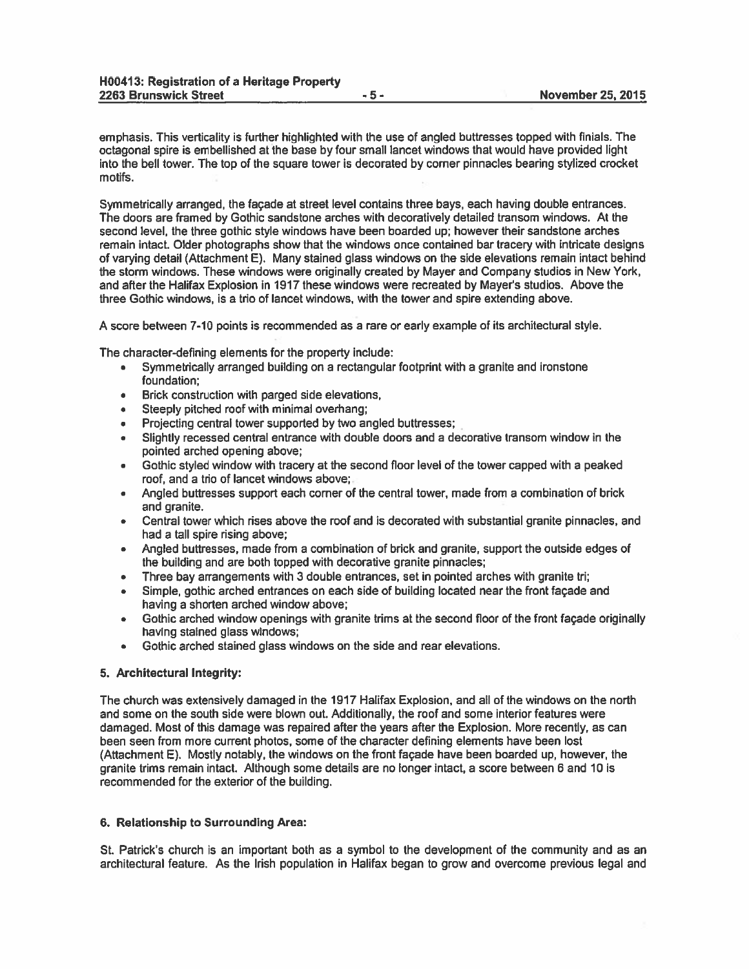emphasis. This verticality is further highlighted with the use of angled buttresses topped with finials. The octagonal spire is embellished at the base by four small lancet windows that would have provided light into the bell tower. The top of the square tower is decorated by corner pinnacles bearing stylized crocket motifs.

Symmetrically arranged, the façade at street level contains three bays, each having double entrances. The doors are framed by Gothic sandstone arches with decoratively detailed transom windows. At the second level, the three gothic style windows have been boarded up; however their sandstone arches remain intact. Older photographs show that the windows once contained bar tracery with intricate designs of varying detail (Attachment E). Many stained glass windows on the side elevations remain intact behind the storm windows. These windows were originally created by Mayer and Company studios in New York, and after the Halifax Explosion in 1917 these windows were recreated by Mayer's studios. Above the three Gothic windows, is <sup>a</sup> trio of lancet windows, with the tower and spire extending above.

A score between 7-10 points is recommended as <sup>a</sup> rare or early example of its architectural style.

The character-defining elements for the property include:

- • Symmetrically arranged building on <sup>a</sup> rectangular footprint with <sup>a</sup> granite and ironstone foundation;
- •Brick construction with parged side elevations,
- Steeply pitched roof with minimal overhang;
- •Projecting central tower supported by two angled buttresses;
- • Slightly recessed central entrance with double doors and <sup>a</sup> decorative transom window in the pointed arched opening above;
- • Gothic styled window with tracery at the second floor level of the tower capped with <sup>a</sup> peaked roof, and <sup>a</sup> trio of lancet windows above;
- • Angled buttresses suppor<sup>t</sup> each corner of the central tower, made from <sup>a</sup> combination of brick and granite.
- • Central tower which rises above the roof and is decorated with substantial granite pinnacles, and had <sup>a</sup> tall spire rising above;
- • Angled buttresses, made from <sup>a</sup> combination of brick and granite, suppor<sup>t</sup> the outside edges of the building and are both topped with decorative granite pinnacles;
- •Three bay arrangements with 3 double entrances, set in pointed arches with granite tri;
- • Simple, gothic arched entrances on each side of building located near the front façade and having <sup>a</sup> shorten arched window above;
- • Gothic arched window openings with granite trims at the second floor of the front façade originally having stained glass windows;
- Gothic arched stained glass windows on the side and rear elevations.

### 5. Architectural Integrity:

The church was extensively damaged in the 1917 Halifax Explosion, and all of the windows on the north and some on the south side were blown out. Additionally, the roof and some interior features were damaged. Most of this damage was repaired after the years after the Explosion. More recently, as can been seen from more current photos, some of the character defining elements have been lost (Attachment E). Mostly notably, the windows on the front façade have been boarded up, however, the granite trims remain intact. Although some details are no longer intact, <sup>a</sup> score between 6 and 10 is recommended for the exterior of the building.

#### 6. Relationship to Surrounding Area:

St. Patrick's church is an important both as <sup>a</sup> symbol to the development of the community and as an architectural feature. As the Irish population in Halifax began to grow and overcome previous legal and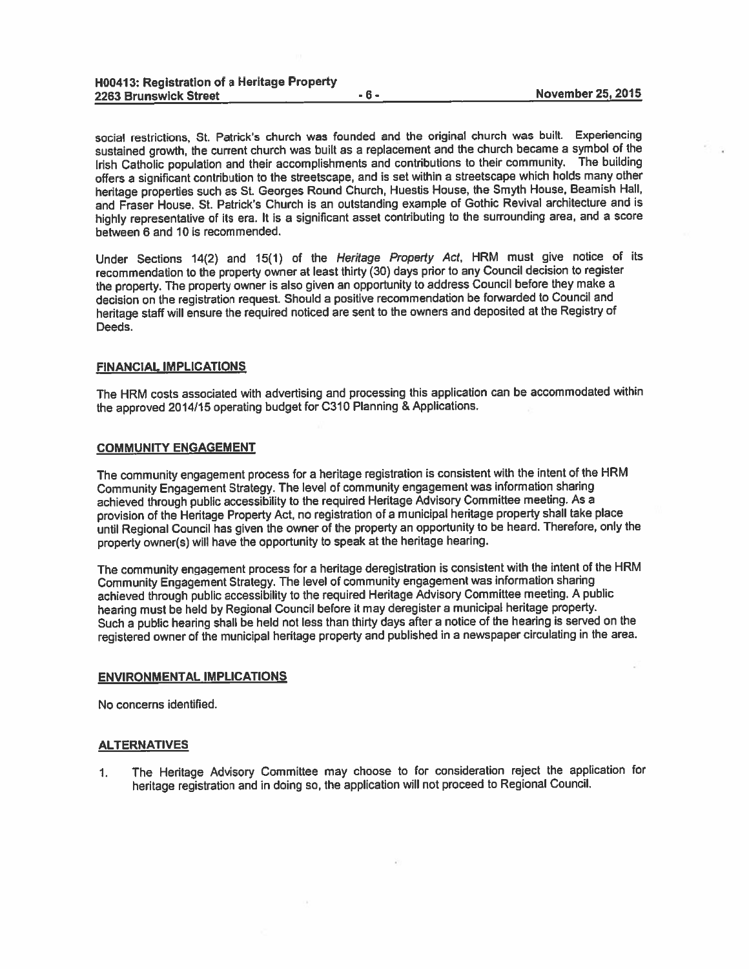social restrictions, St. Patrick's church was founded and the original church was built. Experiencing sustained growth, the current church was built as <sup>a</sup> replacement and the church became <sup>a</sup> symbol of the Irish Catholic population and their accomplishments and contributions to their community. The building offers <sup>a</sup> significant contribution to the streetscape, and is set within <sup>a</sup> streetscape which holds many other heritage properties such as St. Georges Round Church, Huestis House, the Smyth House, Beamish Hall, and Fraser House. St. Patrick's Church is an outstanding example of Gothic Revival architecture and is highly representative of its era. It is <sup>a</sup> significant asset contributing to the surrounding area, and <sup>a</sup> score between 6 and 10 is recommended.

Under Sections 14(2) and 15(1) of the Heritage Property Act, HRM must give notice of its recommendation to the property owner at least thirty (30) days prior to any Council decision to register the property. The property owner is also <sup>g</sup>iven an opportunity to address Council before they make <sup>a</sup> decision on the registration request. Should <sup>a</sup> positive recommendation be forwarded to Council and heritage staff will ensure the required noticed are sent to the owners and deposited at the Registry of Deeds.

#### FINANCIAL IMPLICATIONS

The HRM costs associated with advertising and processing this application can be accommodated within the approve<sup>d</sup> 2014/15 operating budget for C31O Planning & Applications.

#### COMMUNITY ENGAGEMENT

The community engagemen<sup>t</sup> process for <sup>a</sup> heritage registration is consistent with the intent of the HRM Community Engagement Strategy. The level of community engagemen<sup>t</sup> was information sharing achieved through public accessibility to the required Heritage Advisory Committee meeting. As <sup>a</sup> provision of the Heritage Property Act, no registration of <sup>a</sup> municipal heritage property shall take <sup>p</sup>lace until Regional Council has <sup>g</sup>iven the owner of the property an opportunity to be heard. Therefore, only the property owner(s) will have the opportunity to spea<sup>k</sup> at the heritage hearing.

The community engagemen<sup>t</sup> process for <sup>a</sup> heritage deregistration is consistent with the intent of the HRM Community Engagement Strategy. The level of community engagemen<sup>t</sup> was information sharing achieved through public accessibility to the required Heritage Advisory Committee meeting. <sup>A</sup> public hearing must be held by Regional Council before it may deregister <sup>a</sup> municipal heritage property. Such <sup>a</sup> public hearing shall be held not less than thirty days after <sup>a</sup> notice of the hearing is served on the registered owner of the municipal heritage property and published in <sup>a</sup> newspaper circulating in the area.

#### ENVIRONMENTAL IMPLICATIONS

No concerns identified.

### **ALTERNATIVES**

1. The Heritage Advisory Committee may choose to for consideration reject the application for heritage registration and in doing so, the application will not procee<sup>d</sup> to Regional Council.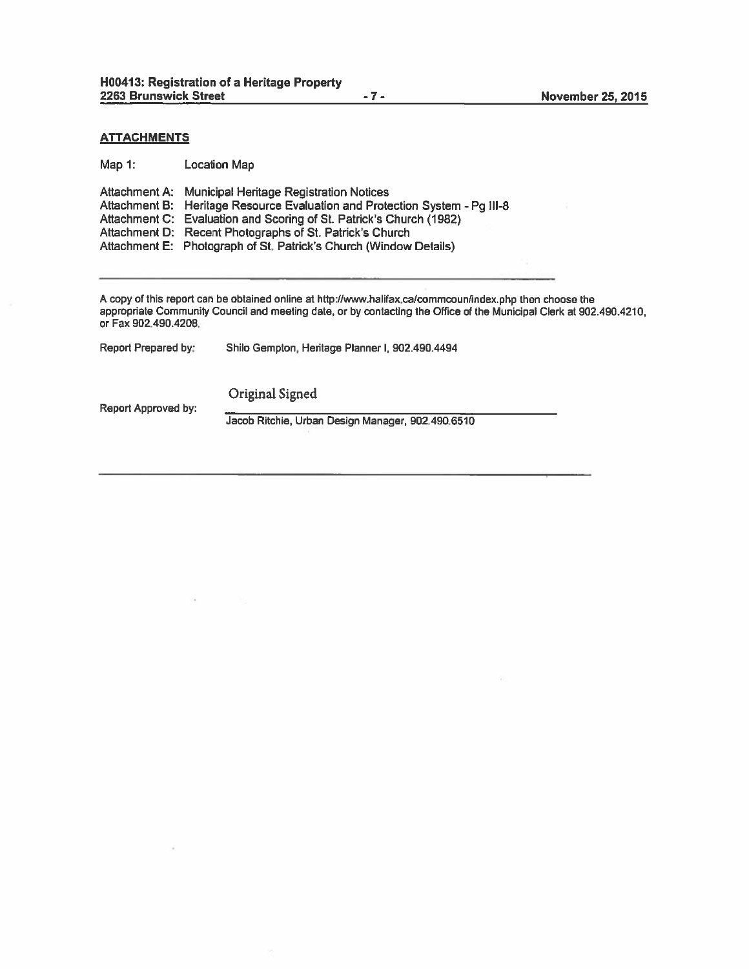### **ATTACHMENTS**

Map 1: Location Map

| Attachment A: Municipal Heritage Registration Notices                       |
|-----------------------------------------------------------------------------|
| Attachment B: Heritage Resource Evaluation and Protection System - Pq III-8 |
| Attachment C: Evaluation and Scoring of St. Patrick's Church (1982)         |
| Attachment D: Recent Photographs of St. Patrick's Church                    |
| Attachment E: Photograph of St. Patrick's Church (Window Details)           |
|                                                                             |

A copy of this report can be obtained online at http://www.halifax.ca/commcoun/index.php then choose the appropriate Community Council and meeting date, or by contacting the Office of the Municipal Clerk at 902.490.4210, or Fax 902.490.4208.

| Report Prepared by: | Shilo Gempton, Heritage Planner I, 902.490.4494 |
|---------------------|-------------------------------------------------|
|---------------------|-------------------------------------------------|

Report Approved by:

Original Signed

Jacob Ritchie, Urban Design Manager, 902.490,6510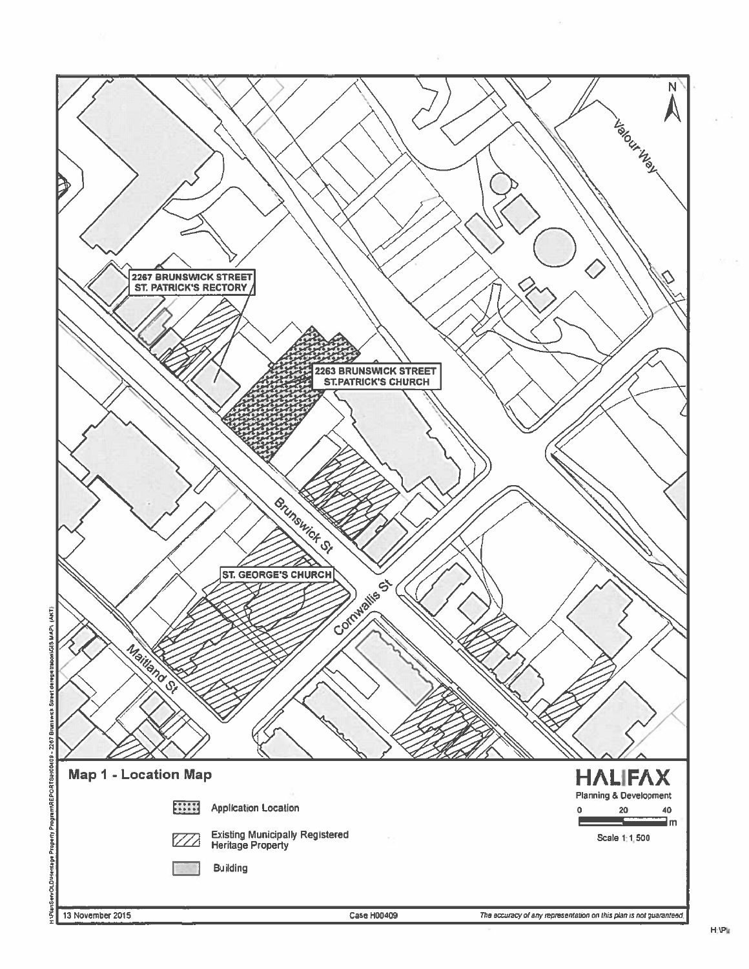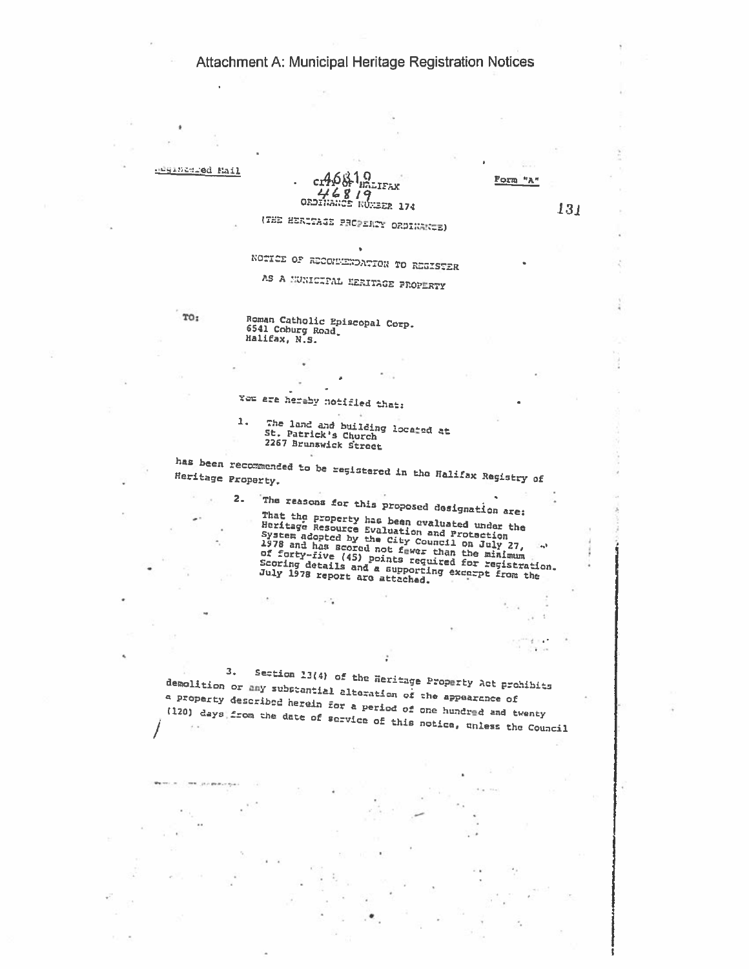Attachment A: Municipal Heritage Registration Notices

 $\tau$ 

중

ֈ.

i,

J.

٠

×,

뚬

 $\ddot{\phantom{0}}$ 

| adginimid Mail     |                                    |                                               |                                      |                                                                                                                                                                                                                                                                                                               |              |  |
|--------------------|------------------------------------|-----------------------------------------------|--------------------------------------|---------------------------------------------------------------------------------------------------------------------------------------------------------------------------------------------------------------------------------------------------------------------------------------------------------------|--------------|--|
|                    |                                    | c:46&1,9<br>46819                             | hálifax                              | Form "A'                                                                                                                                                                                                                                                                                                      |              |  |
|                    |                                    | ORDINANCE NÚMBER 174                          |                                      |                                                                                                                                                                                                                                                                                                               | 131          |  |
|                    |                                    |                                               | (THE HERITAGE PROPERTY ORDINANCE)    |                                                                                                                                                                                                                                                                                                               |              |  |
|                    |                                    |                                               |                                      |                                                                                                                                                                                                                                                                                                               |              |  |
|                    |                                    |                                               | NOTICE OF RECOMMENDATION TO REGISTER |                                                                                                                                                                                                                                                                                                               |              |  |
|                    |                                    |                                               | AS A MUNICIPAL HERITAGE PROPERTY     |                                                                                                                                                                                                                                                                                                               |              |  |
| то:                | 6541 Coburg Road,<br>Halifax, N.S. | Roman Catholic Episcopal Corp.                |                                      |                                                                                                                                                                                                                                                                                                               |              |  |
|                    |                                    |                                               |                                      |                                                                                                                                                                                                                                                                                                               |              |  |
|                    |                                    |                                               |                                      |                                                                                                                                                                                                                                                                                                               |              |  |
|                    |                                    |                                               |                                      |                                                                                                                                                                                                                                                                                                               |              |  |
|                    |                                    | You are hereby notified that:                 |                                      |                                                                                                                                                                                                                                                                                                               |              |  |
|                    | 1.                                 | St. Patrick's Church<br>2267 Brunswick Street | The land and building located at     |                                                                                                                                                                                                                                                                                                               |              |  |
|                    |                                    |                                               |                                      |                                                                                                                                                                                                                                                                                                               |              |  |
| Heritage Property. |                                    |                                               |                                      | has been recommended to be registared in the Halifax Registry of                                                                                                                                                                                                                                              |              |  |
|                    |                                    |                                               |                                      |                                                                                                                                                                                                                                                                                                               |              |  |
|                    | 2.                                 |                                               |                                      | The reasons for this proposed designation are:                                                                                                                                                                                                                                                                |              |  |
|                    |                                    |                                               | July 1978 report are attached.       | That the property has been evaluated under the<br>Heritage Resource Evaluation and Protection<br>System adopted by the City Council on July 27,<br>1978 and has scored not fewer than the minimum<br>of forty-five (45) points required for registration.<br>Scoring details and a supporting except from the | $-2\sqrt{3}$ |  |
|                    |                                    |                                               |                                      |                                                                                                                                                                                                                                                                                                               |              |  |
|                    |                                    |                                               |                                      |                                                                                                                                                                                                                                                                                                               |              |  |
|                    |                                    |                                               |                                      |                                                                                                                                                                                                                                                                                                               |              |  |
|                    |                                    |                                               |                                      |                                                                                                                                                                                                                                                                                                               |              |  |
|                    |                                    |                                               |                                      |                                                                                                                                                                                                                                                                                                               |              |  |
|                    | з.                                 |                                               |                                      | Section 13(4) of the Heritage Property Act prohibits<br>demolition or any substantial altoration of the appearance of<br>a property described herein for a period of one hundred and twenty<br>(120) days from the date of service of this notice, unless the Council                                         |              |  |
|                    |                                    |                                               |                                      |                                                                                                                                                                                                                                                                                                               |              |  |
|                    |                                    |                                               |                                      |                                                                                                                                                                                                                                                                                                               |              |  |
|                    |                                    |                                               |                                      |                                                                                                                                                                                                                                                                                                               |              |  |
|                    |                                    |                                               |                                      |                                                                                                                                                                                                                                                                                                               |              |  |
|                    |                                    |                                               |                                      |                                                                                                                                                                                                                                                                                                               |              |  |
|                    |                                    |                                               |                                      |                                                                                                                                                                                                                                                                                                               |              |  |
|                    |                                    |                                               |                                      |                                                                                                                                                                                                                                                                                                               |              |  |
|                    |                                    |                                               |                                      |                                                                                                                                                                                                                                                                                                               |              |  |
|                    |                                    |                                               |                                      |                                                                                                                                                                                                                                                                                                               |              |  |

l.

÷

 $\overline{1}$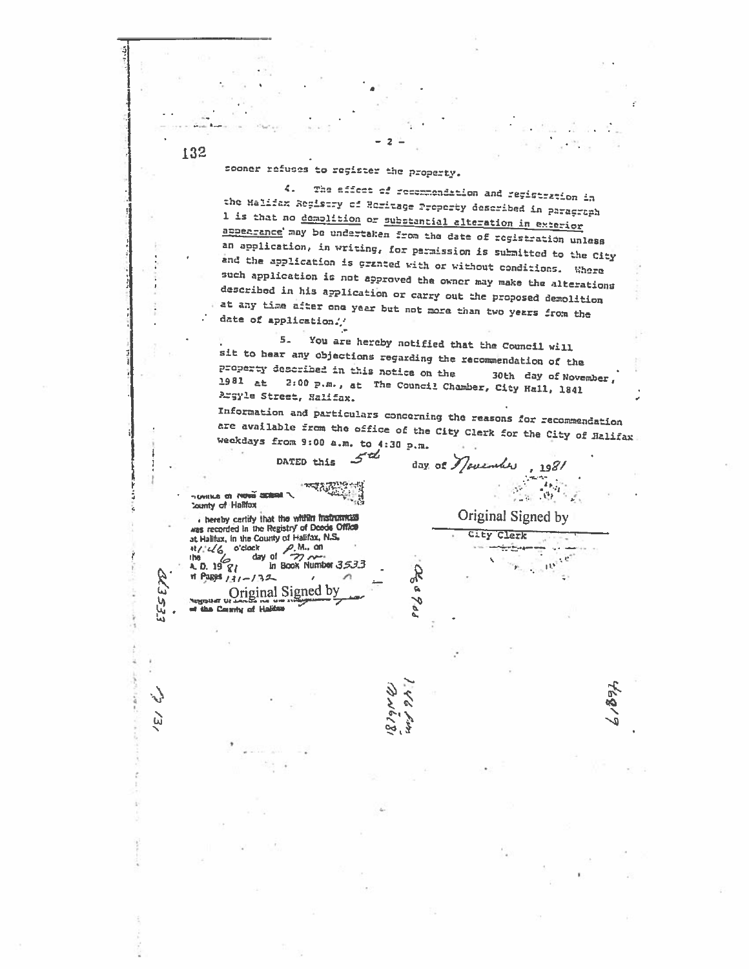sooner refuses to register the property.

The effect of recommendation and registration in 4. the Halifax Registry of Homitage Property described in paragraph 1 is that no demolition or substantial alteration in exterior appearance may be undertaken from the date of registration unless an application, in writing, for parmission is submitted to the City and the application is granted with or without conditions. Whore such application is not approved the owner may make the alterations described in his application or carry out the proposed demolition at any time after one year but not more than two years from the date of application//

You are hereby notified that the Council will  $5<sub>z</sub>$ .<br>sit to hear any objections regarding the recommendation of the property described in this notice on the 30th day of November,  $1981$  at 2:00 p.m., at The Council Chamber, City Hall, 1841 Argyle Street, Halifax.

Information and particulars concerning the reasons for recommendation are available from the office of the City Clerk for the City of Halifax weekdays from 9:00 a.m. to 4:30 p.m.

Che 9 dd

day of Mouenles

 $, 198/$  $\label{eq:2} \frac{1}{2\pi\epsilon^2}\sum_{i=1}^{N_{\rm max}}\frac{1}{2\pi\epsilon^2}\sum_{i=1}^{N_{\rm max}}\frac{1}{2\pi\epsilon^2}\sum_{i=1}^{N_{\rm max}}\frac{1}{2\pi\epsilon^2}\sum_{i=1}^{N_{\rm max}}\frac{1}{2\pi\epsilon^2}\sum_{i=1}^{N_{\rm max}}\frac{1}{2\pi\epsilon^2}\sum_{i=1}^{N_{\rm max}}\frac{1}{2\pi\epsilon^2}\sum_{i=1}^{N_{\rm max}}\frac{1}{2\pi\epsilon^2}\sum_{i=1}^{N_{\rm max}}\frac{1}{$  $\frac{\partial \mathcal{E}_\text{in}}{\partial \mathcal{E}} = \frac{\partial \mathcal{E}_\text{in}}{\partial \mathcal{E}}$ 

 $10^3\,$ 

Original Signed by

City Clerk

d. 5 DATED this

THOUGH OF NOW SCEEL **County of Haltfox** 

. hereby certify that the width instruments was recorded in the Registry of Doods Office at Halifax, in the County of Halifax, N.S. bck<br>day of  $\frac{6}{22}$ <br>in Book Number 3533  $41/46$  o'clock the the  $4.0.19$   $81$  $H$  Pages  $131 - 132$  $\epsilon$ n Original Signed by of the County of Halifan

132

ETP.

EES,

 $\tilde{\omega}$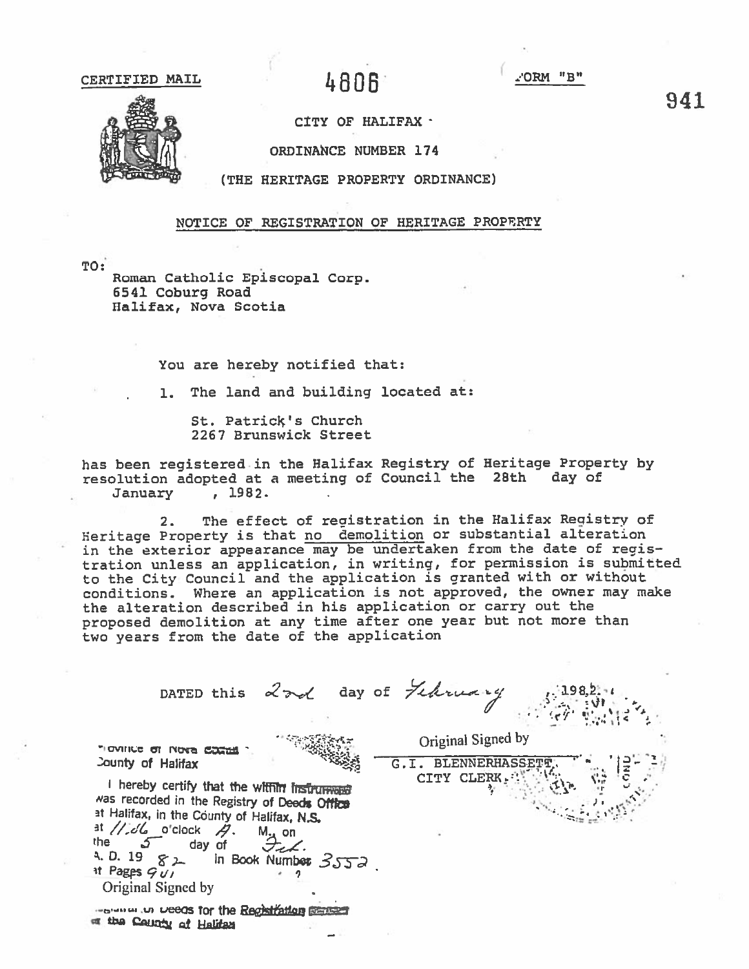4806

"B" NAC'

CITY OF HALIFAX .

ORDINANCE NUMBER 174



(THE HERITAGE PROPERTY ORDINANCE)

NOTICE OF REGISTRATION OF HERITAGE PROPERTY

TO:

Roman Catholic Episcopal Corp. 6541 Coburg Road Halifax, Nova Scotia

You are hereby notified that:

1. The land and building located at:

St. Patrick's Church 2267 Brunswick Street

has been registered in the Halifax Registry of Heritage Property by resolution adopted at a meeting of Council the 28th day of  $, 1982.$ January

The effect of registration in the Halifax Registry of  $2.$ Heritage Property is that no demolition or substantial alteration<br>in the exterior appearance may be undertaken from the date of registration unless an application, in writing, for permission is submitted to the City Council and the application is granted with or without conditions. Where an application is not approved, the owner may make the alteration described in his application or carry out the proposed demolition at any time after one year but not more than two years from the date of the application

DATED this 2 ad day of February Original Signed by TIOVING OT NOVA COCHA G.I. BLENNERHASSET **County of Halifax** CITY CLERK. I hereby certify that the within insurment was recorded in the Registry of Deeds Office at Halifax, in the County of Halifax, N.S.  $\exists$  //db o'clock  $\beta$ .  $M_{\underline{A}}$  on the <u>ර day of</u> Feb. 4. D. 19  $82$  in Book Number  $3552$ .  $\exists t$  Pages  $\mathcal{G}(t)$ Original Signed by

recommun weeds for the Registration conservation of the County of Halifan

941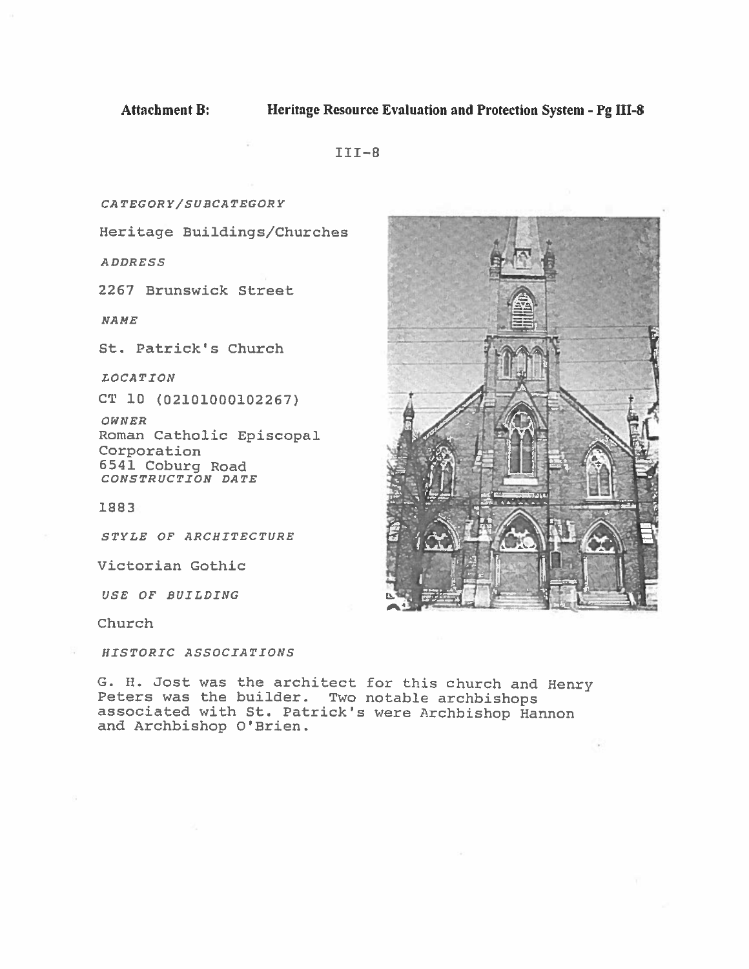$III-8$ 

CA TEGORY/SURCATEGORY

Heritage Buildings/Churches

ADDRESS

2267 Brunswick Street

NAME

St. Patrick's Church

LOCATION

CT 10 (02101000102267)

OWN ER Roman Catholic Episcopal Corporation 6541 Coburg Road CONSTRUCTION DATE

1883

STYLE OF ARCHITECTURE

Victorian Gothic

USE OF BUILDING

Church

HISTORIC ASSOCIATIONS

G. H. Jost was the architect for this church and Henry Peters was the builder. Two notable archbishops associated with St. Patrick's were Archbishop Hannon and Archbishop O'Brien.

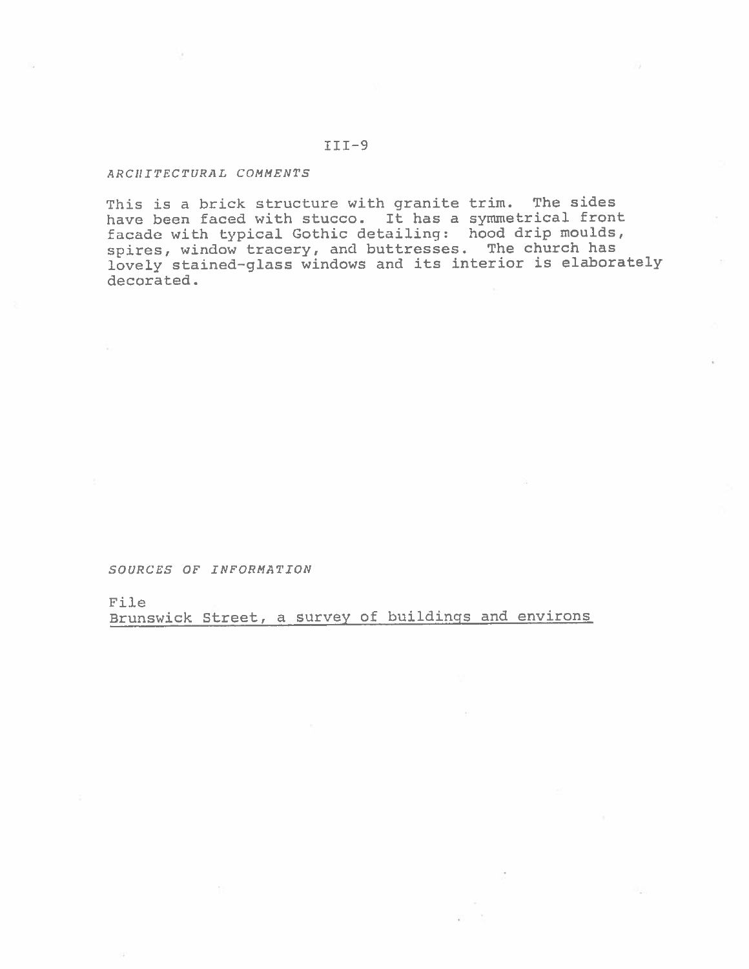# $III-9$

# ARChITECTURAL COMMENTS

This is <sup>a</sup> brick structure with granite trim. The sides have been faced with stucco. It has a symmetrical front facade with typical Gothic detailing: hood drip moulds, spires, window tracery, and buttresses. The church has lovely stained—glass windows and its interior is elaborately decorated.

SOURCES OF INFORMATION

File

Brunswick Street, <sup>a</sup> survey of buildings and environs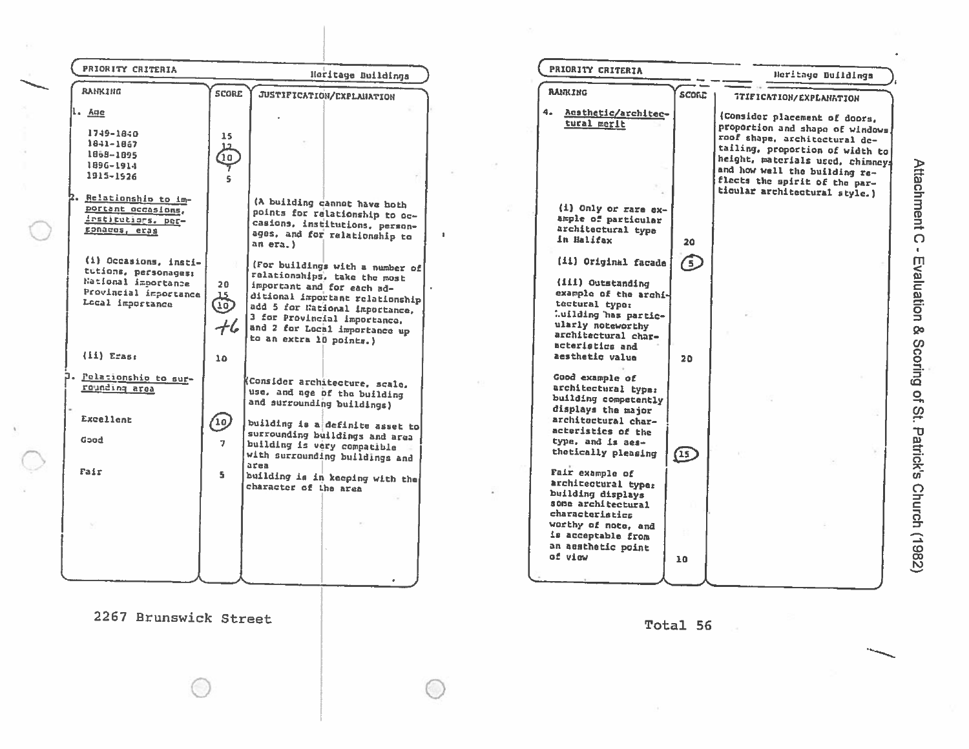| <b>RAHKING</b><br><b>RANKING</b><br><b>SCORE</b><br>JUSTIFICATION/EXPLANATION<br><b>SCOND</b><br>TTIFICATION/EXPLANATION<br>1.49e<br>4. Acsthetic/architec-<br>tural merit<br>1749-1840<br>15 <sub>1</sub><br>1841-1867<br>12<br>1858-1895<br>$\left( \begin{smallmatrix} 0\ 0 \end{smallmatrix} \right)$<br>1896-1914<br>1915-1926<br>s.<br>ticular architectural style.)<br>Relationship to im-<br>(A building cannot have both<br>portant occasions.<br>(i) Only or rare ex-<br>points for relationship to oc-<br>ample of particular<br>institutions. per-<br>casions, institutions, person-<br>architectural type<br>ronaces, eras<br>ages, and for relationship to<br>in Halifax<br>20<br>an era.)<br>(i) Occasions, insti-<br>(ii) Original facade<br>$\left(5\right)$<br>(For buildings with a number of<br>tutions, personages:<br>relationships, take the most<br>National importance<br>(III) Outstanding<br>20<br>important and for each ad-<br>Provincial importance<br>example of the archi-<br>ශ්<br>ditional important relationship<br>Local importance<br>tectural type:<br>add 5 for National Importance,<br>Luilding has partic-<br>3 for Provincial importance.<br>$+$ 6<br>ularly noteworthy<br>and 2 for Local importance up<br>architectural char-<br>to an extra 10 points.)<br>acteristics and<br>$(11)$ Eras:<br>aesthetic value<br>10 <sub>1</sub><br>20<br>Pelationship to sur-<br>Good example of<br>Consider architecture, scale,<br>rounding area<br>architectural type:<br>use, and age of the building<br>building competently<br>and surrounding buildings)<br>displays the major<br>Excellent<br>architectural char-<br>(10)<br>building is a definite asset to<br>acteristics of the<br>surrounding buildings and area<br>Good<br>type, and is aes-<br>$\mathbf{z}$<br>building is very compatible<br>thetically pleasing<br>$\left( \mathbf{15}\right)$<br>with surrounding buildings and<br>area<br>Fair<br>Fair example of<br>S.<br>building is in keeping with the<br>architectural type:<br>character of the area<br>building displays<br>some architectural<br>characteristics<br>worthy of note, and<br>is acceptable from | PRIORITY CRITERIA |  | Heritage Buildings | PRIORITY CRITERIA  | Neritage Buildings                                                                                                                                                                                                                          |
|-----------------------------------------------------------------------------------------------------------------------------------------------------------------------------------------------------------------------------------------------------------------------------------------------------------------------------------------------------------------------------------------------------------------------------------------------------------------------------------------------------------------------------------------------------------------------------------------------------------------------------------------------------------------------------------------------------------------------------------------------------------------------------------------------------------------------------------------------------------------------------------------------------------------------------------------------------------------------------------------------------------------------------------------------------------------------------------------------------------------------------------------------------------------------------------------------------------------------------------------------------------------------------------------------------------------------------------------------------------------------------------------------------------------------------------------------------------------------------------------------------------------------------------------------------------------------------------------------------------------------------------------------------------------------------------------------------------------------------------------------------------------------------------------------------------------------------------------------------------------------------------------------------------------------------------------------------------------------------------------------------------------------------------------------------------------------------------------------------------------------------------------------------------------------|-------------------|--|--------------------|--------------------|---------------------------------------------------------------------------------------------------------------------------------------------------------------------------------------------------------------------------------------------|
|                                                                                                                                                                                                                                                                                                                                                                                                                                                                                                                                                                                                                                                                                                                                                                                                                                                                                                                                                                                                                                                                                                                                                                                                                                                                                                                                                                                                                                                                                                                                                                                                                                                                                                                                                                                                                                                                                                                                                                                                                                                                                                                                                                       |                   |  |                    |                    |                                                                                                                                                                                                                                             |
|                                                                                                                                                                                                                                                                                                                                                                                                                                                                                                                                                                                                                                                                                                                                                                                                                                                                                                                                                                                                                                                                                                                                                                                                                                                                                                                                                                                                                                                                                                                                                                                                                                                                                                                                                                                                                                                                                                                                                                                                                                                                                                                                                                       |                   |  |                    |                    | (Consider placement of doors,<br>proportion and shape of windows.<br>roof shape, architectural de-<br>tailing, proportion of width to<br>height, materials used, chimneys<br>and how well the building re-<br>flects the spirit of the par- |
|                                                                                                                                                                                                                                                                                                                                                                                                                                                                                                                                                                                                                                                                                                                                                                                                                                                                                                                                                                                                                                                                                                                                                                                                                                                                                                                                                                                                                                                                                                                                                                                                                                                                                                                                                                                                                                                                                                                                                                                                                                                                                                                                                                       |                   |  |                    |                    |                                                                                                                                                                                                                                             |
|                                                                                                                                                                                                                                                                                                                                                                                                                                                                                                                                                                                                                                                                                                                                                                                                                                                                                                                                                                                                                                                                                                                                                                                                                                                                                                                                                                                                                                                                                                                                                                                                                                                                                                                                                                                                                                                                                                                                                                                                                                                                                                                                                                       |                   |  |                    |                    |                                                                                                                                                                                                                                             |
|                                                                                                                                                                                                                                                                                                                                                                                                                                                                                                                                                                                                                                                                                                                                                                                                                                                                                                                                                                                                                                                                                                                                                                                                                                                                                                                                                                                                                                                                                                                                                                                                                                                                                                                                                                                                                                                                                                                                                                                                                                                                                                                                                                       |                   |  |                    |                    |                                                                                                                                                                                                                                             |
| of vinu                                                                                                                                                                                                                                                                                                                                                                                                                                                                                                                                                                                                                                                                                                                                                                                                                                                                                                                                                                                                                                                                                                                                                                                                                                                                                                                                                                                                                                                                                                                                                                                                                                                                                                                                                                                                                                                                                                                                                                                                                                                                                                                                                               |                   |  |                    | an aesthetic point |                                                                                                                                                                                                                                             |

2267 Brunswick Street

 $\mathbf{V}$ 

Total 56

Attachment C - Evaluation & Scoring of St. Patrick's Church (1982)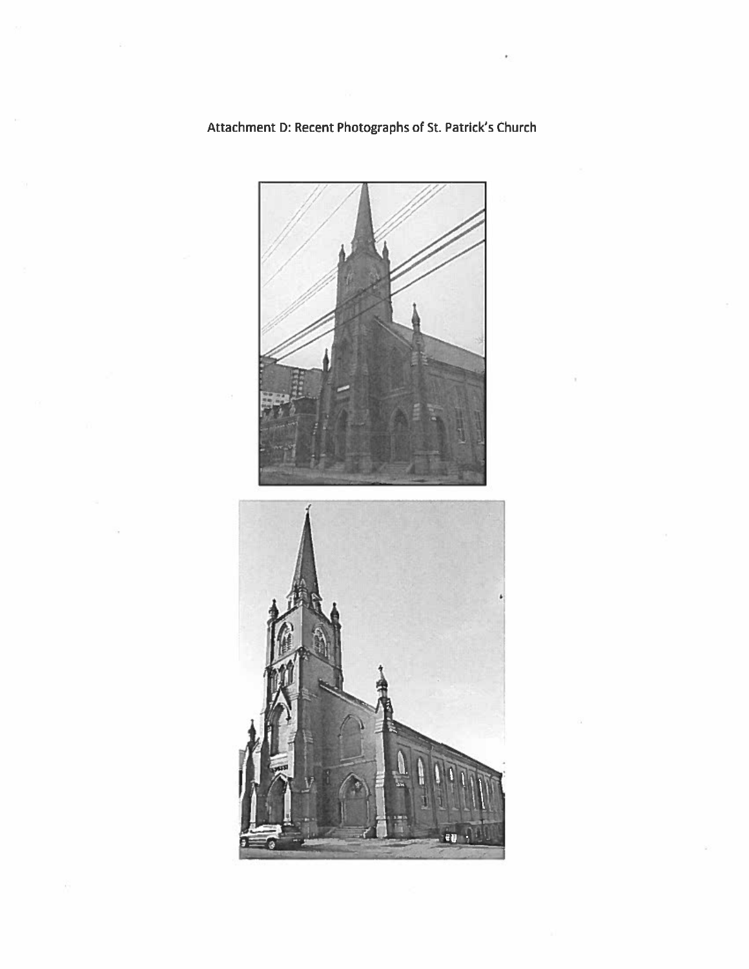

Attachment D: Recent Photographs of St. Patrick's Church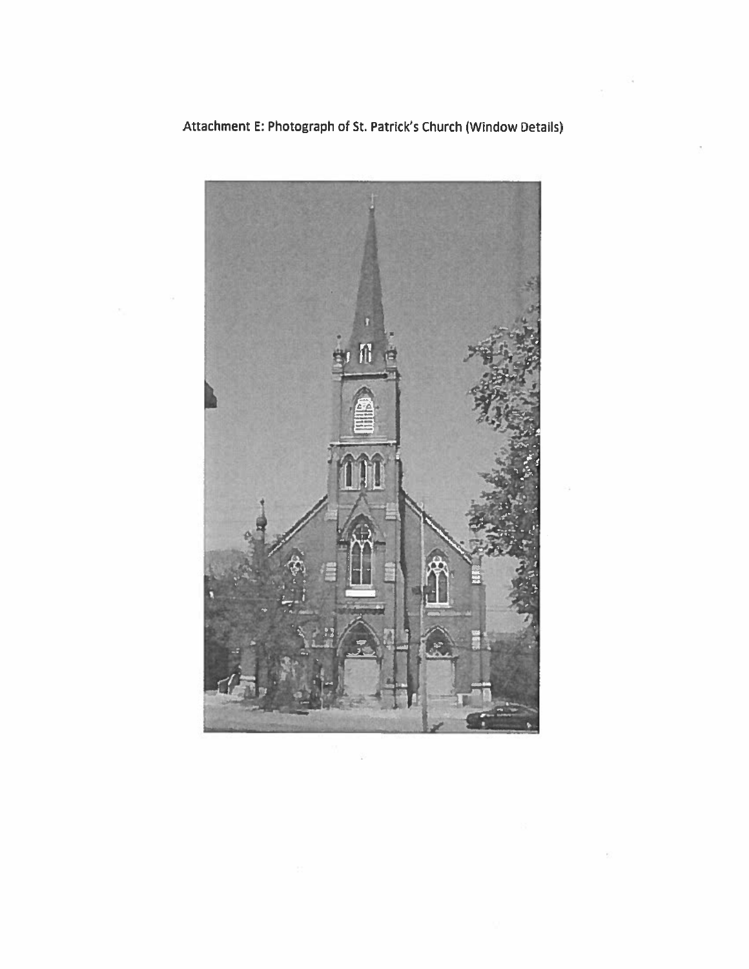